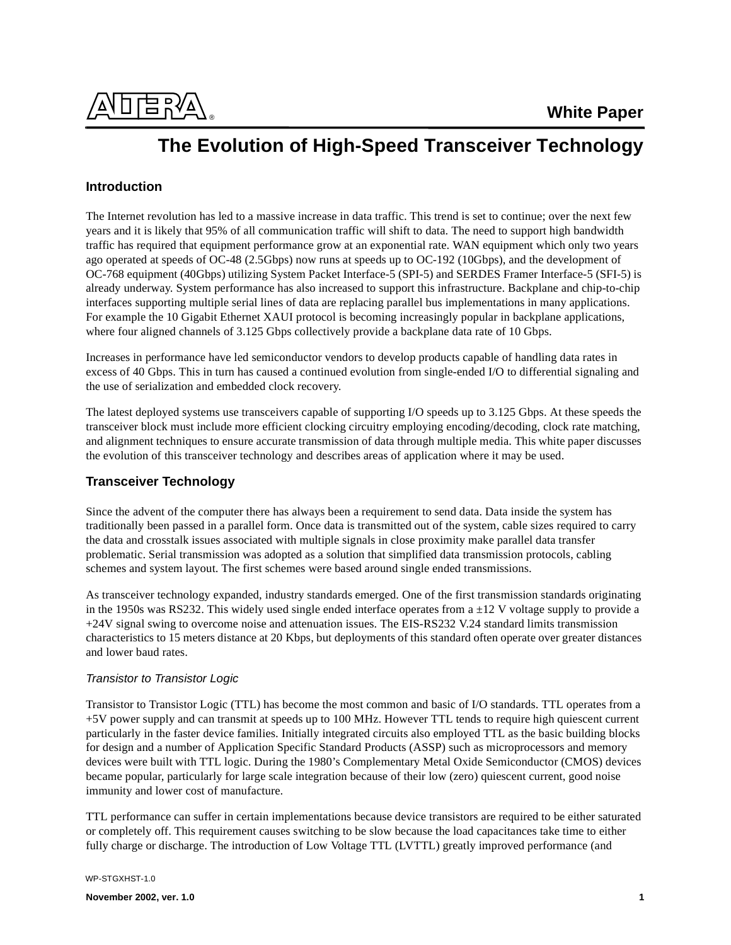

# **The Evolution of High-Speed Transceiver Technology**

# **Introduction**

The Internet revolution has led to a massive increase in data traffic. This trend is set to continue; over the next few years and it is likely that 95% of all communication traffic will shift to data. The need to support high bandwidth traffic has required that equipment performance grow at an exponential rate. WAN equipment which only two years ago operated at speeds of OC-48 (2.5Gbps) now runs at speeds up to OC-192 (10Gbps), and the development of OC-768 equipment (40Gbps) utilizing System Packet Interface-5 (SPI-5) and SERDES Framer Interface-5 (SFI-5) is already underway. System performance has also increased to support this infrastructure. Backplane and chip-to-chip interfaces supporting multiple serial lines of data are replacing parallel bus implementations in many applications. For example the 10 Gigabit Ethernet XAUI protocol is becoming increasingly popular in backplane applications, where four aligned channels of 3.125 Gbps collectively provide a backplane data rate of 10 Gbps.

Increases in performance have led semiconductor vendors to develop products capable of handling data rates in excess of 40 Gbps. This in turn has caused a continued evolution from single-ended I/O to differential signaling and the use of serialization and embedded clock recovery.

The latest deployed systems use transceivers capable of supporting I/O speeds up to 3.125 Gbps. At these speeds the transceiver block must include more efficient clocking circuitry employing encoding/decoding, clock rate matching, and alignment techniques to ensure accurate transmission of data through multiple media. This white paper discusses the evolution of this transceiver technology and describes areas of application where it may be used.

# **Transceiver Technology**

Since the advent of the computer there has always been a requirement to send data. Data inside the system has traditionally been passed in a parallel form. Once data is transmitted out of the system, cable sizes required to carry the data and crosstalk issues associated with multiple signals in close proximity make parallel data transfer problematic. Serial transmission was adopted as a solution that simplified data transmission protocols, cabling schemes and system layout. The first schemes were based around single ended transmissions.

As transceiver technology expanded, industry standards emerged. One of the first transmission standards originating in the 1950s was RS232. This widely used single ended interface operates from  $a \pm 12$  V voltage supply to provide a +24V signal swing to overcome noise and attenuation issues. The EIS-RS232 V.24 standard limits transmission characteristics to 15 meters distance at 20 Kbps, but deployments of this standard often operate over greater distances and lower baud rates.

### Transistor to Transistor Logic

Transistor to Transistor Logic (TTL) has become the most common and basic of I/O standards. TTL operates from a +5V power supply and can transmit at speeds up to 100 MHz. However TTL tends to require high quiescent current particularly in the faster device families. Initially integrated circuits also employed TTL as the basic building blocks for design and a number of Application Specific Standard Products (ASSP) such as microprocessors and memory devices were built with TTL logic. During the 1980's Complementary Metal Oxide Semiconductor (CMOS) devices became popular, particularly for large scale integration because of their low (zero) quiescent current, good noise immunity and lower cost of manufacture.

TTL performance can suffer in certain implementations because device transistors are required to be either saturated or completely off. This requirement causes switching to be slow because the load capacitances take time to either fully charge or discharge. The introduction of Low Voltage TTL (LVTTL) greatly improved performance (and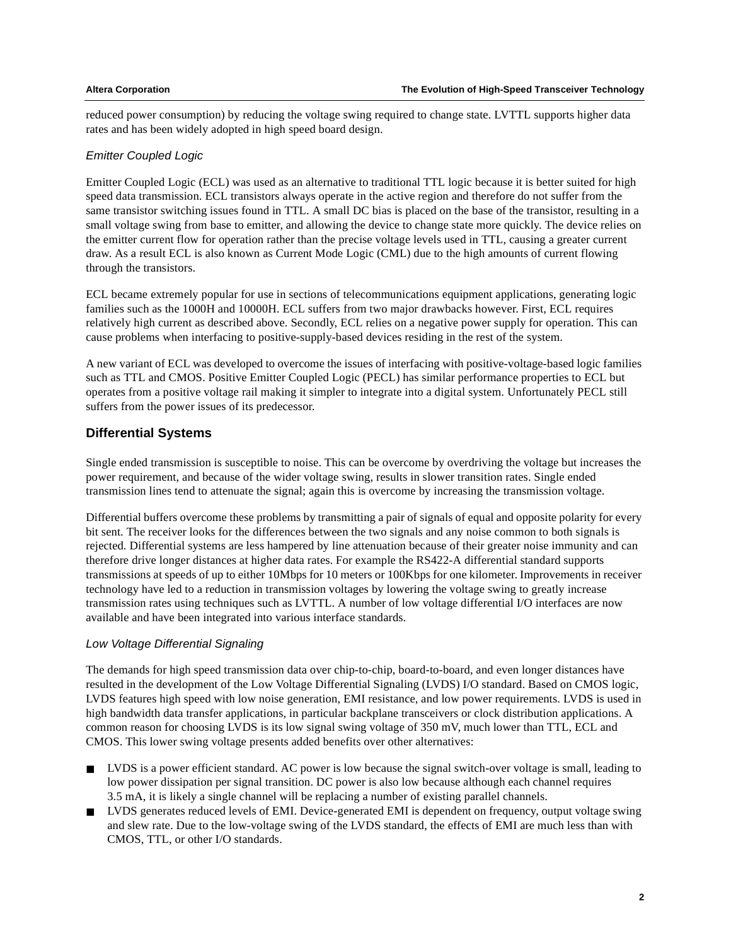reduced power consumption) by reducing the voltage swing required to change state. LVTTL supports higher data rates and has been widely adopted in high speed board design.

### Emitter Coupled Logic

Emitter Coupled Logic (ECL) was used as an alternative to traditional TTL logic because it is better suited for high speed data transmission. ECL transistors always operate in the active region and therefore do not suffer from the same transistor switching issues found in TTL. A small DC bias is placed on the base of the transistor, resulting in a small voltage swing from base to emitter, and allowing the device to change state more quickly. The device relies on the emitter current flow for operation rather than the precise voltage levels used in TTL, causing a greater current draw. As a result ECL is also known as Current Mode Logic (CML) due to the high amounts of current flowing through the transistors.

ECL became extremely popular for use in sections of telecommunications equipment applications, generating logic families such as the 1000H and 10000H. ECL suffers from two major drawbacks however. First, ECL requires relatively high current as described above. Secondly, ECL relies on a negative power supply for operation. This can cause problems when interfacing to positive-supply-based devices residing in the rest of the system.

A new variant of ECL was developed to overcome the issues of interfacing with positive-voltage-based logic families such as TTL and CMOS. Positive Emitter Coupled Logic (PECL) has similar performance properties to ECL but operates from a positive voltage rail making it simpler to integrate into a digital system. Unfortunately PECL still suffers from the power issues of its predecessor.

# **Differential Systems**

Single ended transmission is susceptible to noise. This can be overcome by overdriving the voltage but increases the power requirement, and because of the wider voltage swing, results in slower transition rates. Single ended transmission lines tend to attenuate the signal; again this is overcome by increasing the transmission voltage.

Differential buffers overcome these problems by transmitting a pair of signals of equal and opposite polarity for every bit sent. The receiver looks for the differences between the two signals and any noise common to both signals is rejected. Differential systems are less hampered by line attenuation because of their greater noise immunity and can therefore drive longer distances at higher data rates. For example the RS422-A differential standard supports transmissions at speeds of up to either 10Mbps for 10 meters or 100Kbps for one kilometer. Improvements in receiver technology have led to a reduction in transmission voltages by lowering the voltage swing to greatly increase transmission rates using techniques such as LVTTL. A number of low voltage differential I/O interfaces are now available and have been integrated into various interface standards.

### Low Voltage Differential Signaling

The demands for high speed transmission data over chip-to-chip, board-to-board, and even longer distances have resulted in the development of the Low Voltage Differential Signaling (LVDS) I/O standard. Based on CMOS logic, LVDS features high speed with low noise generation, EMI resistance, and low power requirements. LVDS is used in high bandwidth data transfer applications, in particular backplane transceivers or clock distribution applications. A common reason for choosing LVDS is its low signal swing voltage of 350 mV, much lower than TTL, ECL and CMOS. This lower swing voltage presents added benefits over other alternatives:

- LVDS is a power efficient standard. AC power is low because the signal switch-over voltage is small, leading to low power dissipation per signal transition. DC power is also low because although each channel requires 3.5 mA, it is likely a single channel will be replacing a number of existing parallel channels.
- LVDS generates reduced levels of EMI. Device-generated EMI is dependent on frequency, output voltage swing and slew rate. Due to the low-voltage swing of the LVDS standard, the effects of EMI are much less than with CMOS, TTL, or other I/O standards.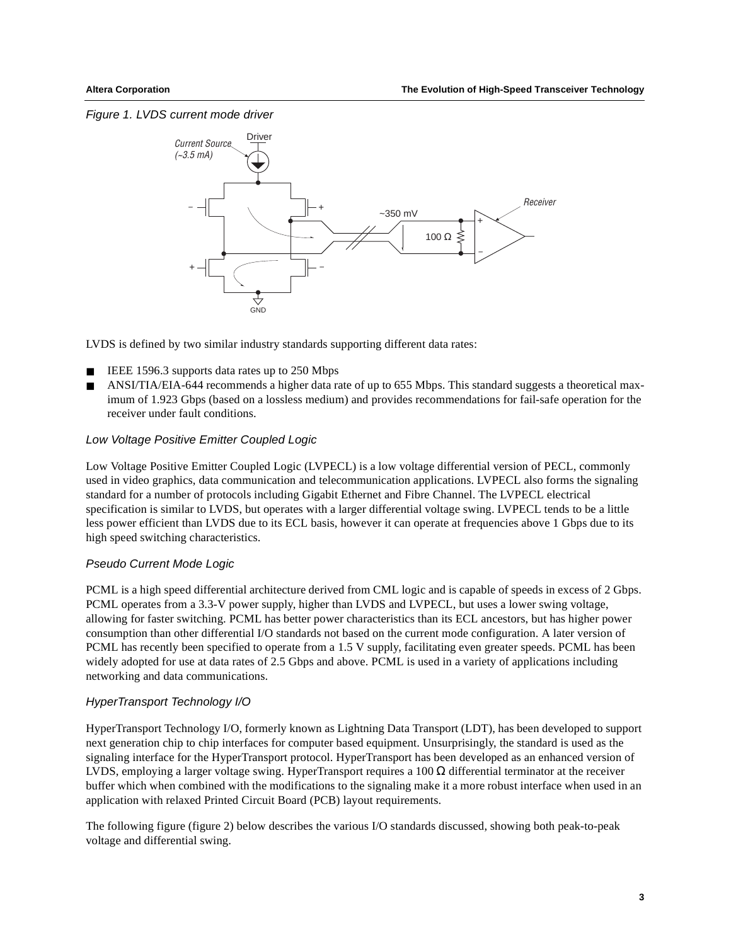#### Figure 1. LVDS current mode driver



LVDS is defined by two similar industry standards supporting different data rates:

- IEEE 1596.3 supports data rates up to 250 Mbps
- ANSI/TIA/EIA-644 recommends a higher data rate of up to 655 Mbps. This standard suggests a theoretical maximum of 1.923 Gbps (based on a lossless medium) and provides recommendations for fail-safe operation for the receiver under fault conditions.

#### Low Voltage Positive Emitter Coupled Logic

Low Voltage Positive Emitter Coupled Logic (LVPECL) is a low voltage differential version of PECL, commonly used in video graphics, data communication and telecommunication applications. LVPECL also forms the signaling standard for a number of protocols including Gigabit Ethernet and Fibre Channel. The LVPECL electrical specification is similar to LVDS, but operates with a larger differential voltage swing. LVPECL tends to be a little less power efficient than LVDS due to its ECL basis, however it can operate at frequencies above 1 Gbps due to its high speed switching characteristics.

#### Pseudo Current Mode Logic

PCML is a high speed differential architecture derived from CML logic and is capable of speeds in excess of 2 Gbps. PCML operates from a 3.3-V power supply, higher than LVDS and LVPECL, but uses a lower swing voltage, allowing for faster switching. PCML has better power characteristics than its ECL ancestors, but has higher power consumption than other differential I/O standards not based on the current mode configuration. A later version of PCML has recently been specified to operate from a 1.5 V supply, facilitating even greater speeds. PCML has been widely adopted for use at data rates of 2.5 Gbps and above. PCML is used in a variety of applications including networking and data communications.

#### HyperTransport Technology I/O

HyperTransport Technology I/O, formerly known as Lightning Data Transport (LDT), has been developed to support next generation chip to chip interfaces for computer based equipment. Unsurprisingly, the standard is used as the signaling interface for the HyperTransport protocol. HyperTransport has been developed as an enhanced version of LVDS, employing a larger voltage swing. HyperTransport requires a 100 Ω differential terminator at the receiver buffer which when combined with the modifications to the signaling make it a more robust interface when used in an application with relaxed Printed Circuit Board (PCB) layout requirements.

The following figure (figure 2) below describes the various I/O standards discussed, showing both peak-to-peak voltage and differential swing.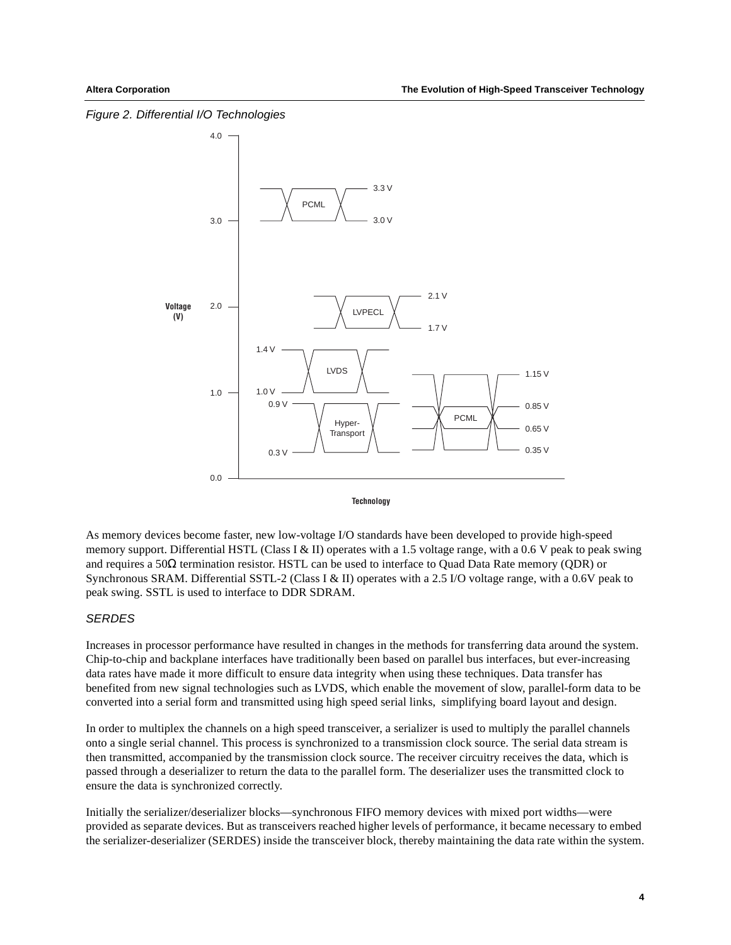Figure 2. Differential I/O Technologies



**Technology**

As memory devices become faster, new low-voltage I/O standards have been developed to provide high-speed memory support. Differential HSTL (Class I & II) operates with a 1.5 voltage range, with a 0.6 V peak to peak swing and requires a 50Ω termination resistor. HSTL can be used to interface to Quad Data Rate memory (QDR) or Synchronous SRAM. Differential SSTL-2 (Class I & II) operates with a 2.5 I/O voltage range, with a 0.6V peak to peak swing. SSTL is used to interface to DDR SDRAM.

## **SERDES**

Increases in processor performance have resulted in changes in the methods for transferring data around the system. Chip-to-chip and backplane interfaces have traditionally been based on parallel bus interfaces, but ever-increasing data rates have made it more difficult to ensure data integrity when using these techniques. Data transfer has benefited from new signal technologies such as LVDS, which enable the movement of slow, parallel-form data to be converted into a serial form and transmitted using high speed serial links, simplifying board layout and design.

In order to multiplex the channels on a high speed transceiver, a serializer is used to multiply the parallel channels onto a single serial channel. This process is synchronized to a transmission clock source. The serial data stream is then transmitted, accompanied by the transmission clock source. The receiver circuitry receives the data, which is passed through a deserializer to return the data to the parallel form. The deserializer uses the transmitted clock to ensure the data is synchronized correctly.

Initially the serializer/deserializer blocks—synchronous FIFO memory devices with mixed port widths—were provided as separate devices. But as transceivers reached higher levels of performance, it became necessary to embed the serializer-deserializer (SERDES) inside the transceiver block, thereby maintaining the data rate within the system.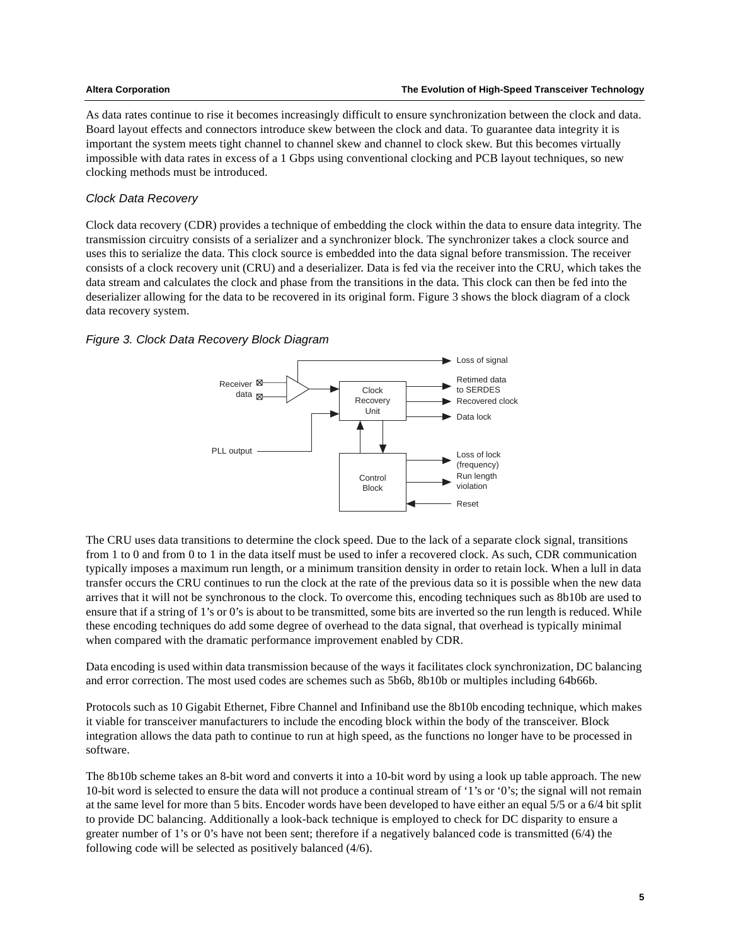As data rates continue to rise it becomes increasingly difficult to ensure synchronization between the clock and data. Board layout effects and connectors introduce skew between the clock and data. To guarantee data integrity it is important the system meets tight channel to channel skew and channel to clock skew. But this becomes virtually impossible with data rates in excess of a 1 Gbps using conventional clocking and PCB layout techniques, so new clocking methods must be introduced.

### Clock Data Recovery

Clock data recovery (CDR) provides a technique of embedding the clock within the data to ensure data integrity. The transmission circuitry consists of a serializer and a synchronizer block. The synchronizer takes a clock source and uses this to serialize the data. This clock source is embedded into the data signal before transmission. The receiver consists of a clock recovery unit (CRU) and a deserializer. Data is fed via the receiver into the CRU, which takes the data stream and calculates the clock and phase from the transitions in the data. This clock can then be fed into the deserializer allowing for the data to be recovered in its original form. Figure 3 shows the block diagram of a clock data recovery system.

#### Figure 3. Clock Data Recovery Block Diagram



The CRU uses data transitions to determine the clock speed. Due to the lack of a separate clock signal, transitions from 1 to 0 and from 0 to 1 in the data itself must be used to infer a recovered clock. As such, CDR communication typically imposes a maximum run length, or a minimum transition density in order to retain lock. When a lull in data transfer occurs the CRU continues to run the clock at the rate of the previous data so it is possible when the new data arrives that it will not be synchronous to the clock. To overcome this, encoding techniques such as 8b10b are used to ensure that if a string of 1's or 0's is about to be transmitted, some bits are inverted so the run length is reduced. While these encoding techniques do add some degree of overhead to the data signal, that overhead is typically minimal when compared with the dramatic performance improvement enabled by CDR.

Data encoding is used within data transmission because of the ways it facilitates clock synchronization, DC balancing and error correction. The most used codes are schemes such as 5b6b, 8b10b or multiples including 64b66b.

Protocols such as 10 Gigabit Ethernet, Fibre Channel and Infiniband use the 8b10b encoding technique, which makes it viable for transceiver manufacturers to include the encoding block within the body of the transceiver. Block integration allows the data path to continue to run at high speed, as the functions no longer have to be processed in software.

The 8b10b scheme takes an 8-bit word and converts it into a 10-bit word by using a look up table approach. The new 10-bit word is selected to ensure the data will not produce a continual stream of '1's or '0's; the signal will not remain at the same level for more than 5 bits. Encoder words have been developed to have either an equal 5/5 or a 6/4 bit split to provide DC balancing. Additionally a look-back technique is employed to check for DC disparity to ensure a greater number of 1's or 0's have not been sent; therefore if a negatively balanced code is transmitted (6/4) the following code will be selected as positively balanced (4/6).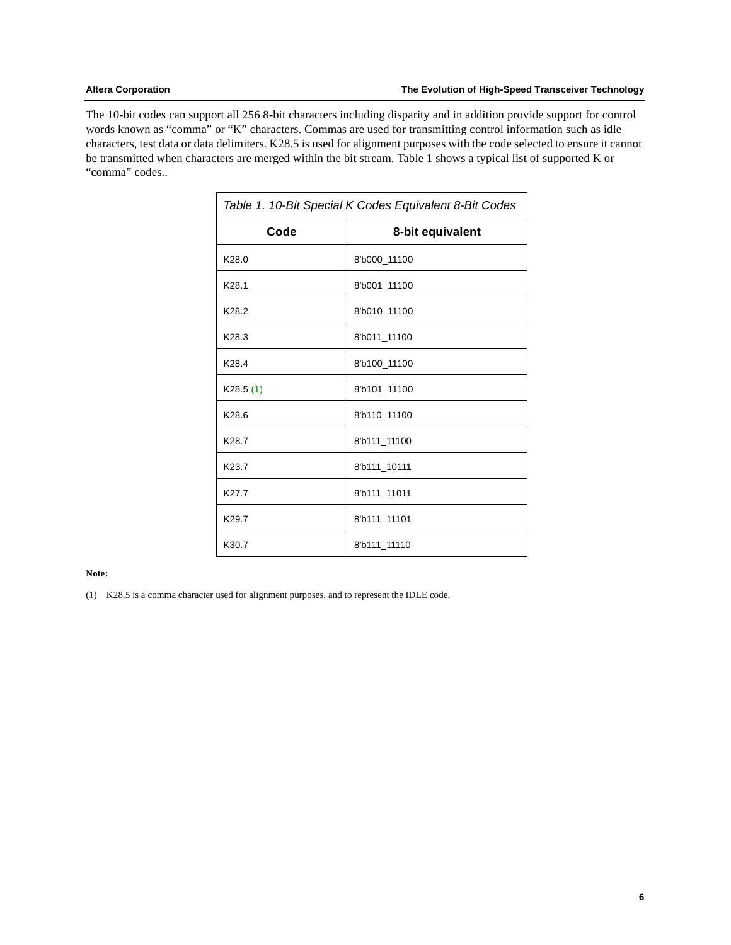The 10-bit codes can support all 256 8-bit characters including disparity and in addition provide support for control words known as "comma" or "K" characters. Commas are used for transmitting control information such as idle characters, test data or data delimiters. K28.5 is used for alignment purposes with the code selected to ensure it cannot be transmitted when characters are merged within the bit stream. Table 1 shows a typical list of supported K or "comma" codes..

| Table 1. 10-Bit Special K Codes Equivalent 8-Bit Codes |                  |  |  |  |
|--------------------------------------------------------|------------------|--|--|--|
| Code                                                   | 8-bit equivalent |  |  |  |
| K <sub>28.0</sub>                                      | 8'b000_11100     |  |  |  |
| K28.1                                                  | 8'b001_11100     |  |  |  |
| K28.2                                                  | 8'b010 11100     |  |  |  |
| K28.3                                                  | 8'b011_11100     |  |  |  |
| K28.4                                                  | 8'b100_11100     |  |  |  |
| K28.5(1)                                               | 8'b101_11100     |  |  |  |
| K28.6                                                  | 8'b110 11100     |  |  |  |
| K28.7                                                  | 8'b111 11100     |  |  |  |
| K23.7                                                  | 8'b111 10111     |  |  |  |
| K27.7                                                  | 8'b111_11011     |  |  |  |
| K29.7                                                  | 8'b111_11101     |  |  |  |
| K30.7                                                  | 8'b111_11110     |  |  |  |

#### **Note:**

<span id="page-5-0"></span>(1) K28.5 is a comma character used for alignment purposes, and to represent the IDLE code.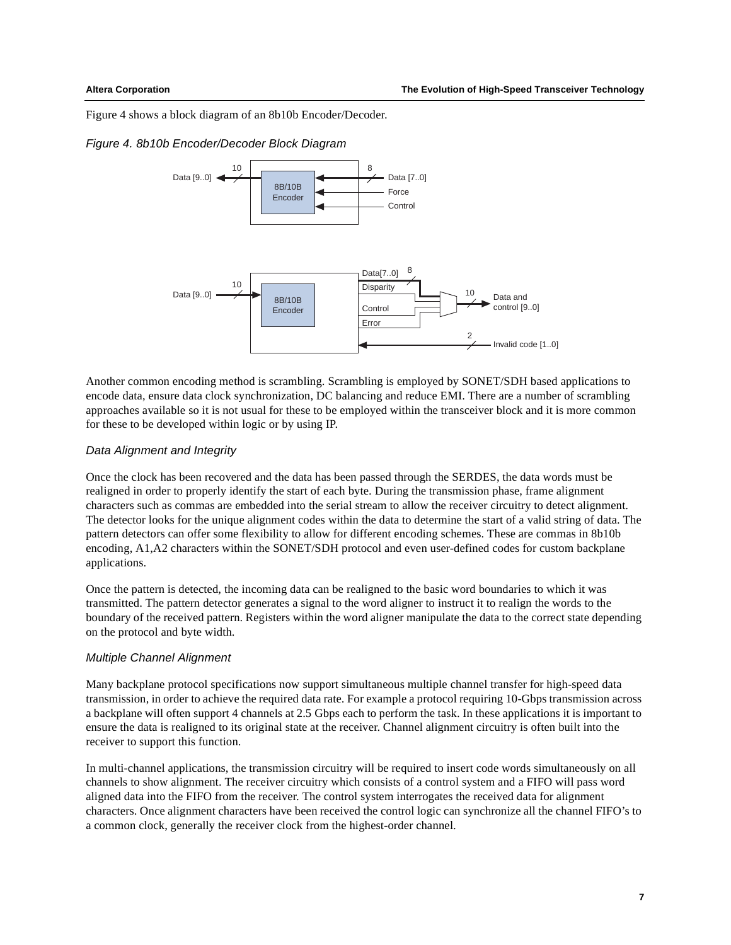[Figure 4](#page-6-0) shows a block diagram of an 8b10b Encoder/Decoder.

#### <span id="page-6-0"></span>Figure 4. 8b10b Encoder/Decoder Block Diagram



Another common encoding method is scrambling. Scrambling is employed by SONET/SDH based applications to encode data, ensure data clock synchronization, DC balancing and reduce EMI. There are a number of scrambling approaches available so it is not usual for these to be employed within the transceiver block and it is more common for these to be developed within logic or by using IP.

#### Data Alignment and Integrity

Once the clock has been recovered and the data has been passed through the SERDES, the data words must be realigned in order to properly identify the start of each byte. During the transmission phase, frame alignment characters such as commas are embedded into the serial stream to allow the receiver circuitry to detect alignment. The detector looks for the unique alignment codes within the data to determine the start of a valid string of data. The pattern detectors can offer some flexibility to allow for different encoding schemes. These are commas in 8b10b encoding, A1,A2 characters within the SONET/SDH protocol and even user-defined codes for custom backplane applications.

Once the pattern is detected, the incoming data can be realigned to the basic word boundaries to which it was transmitted. The pattern detector generates a signal to the word aligner to instruct it to realign the words to the boundary of the received pattern. Registers within the word aligner manipulate the data to the correct state depending on the protocol and byte width.

#### Multiple Channel Alignment

Many backplane protocol specifications now support simultaneous multiple channel transfer for high-speed data transmission, in order to achieve the required data rate. For example a protocol requiring 10-Gbps transmission across a backplane will often support 4 channels at 2.5 Gbps each to perform the task. In these applications it is important to ensure the data is realigned to its original state at the receiver. Channel alignment circuitry is often built into the receiver to support this function.

In multi-channel applications, the transmission circuitry will be required to insert code words simultaneously on all channels to show alignment. The receiver circuitry which consists of a control system and a FIFO will pass word aligned data into the FIFO from the receiver. The control system interrogates the received data for alignment characters. Once alignment characters have been received the control logic can synchronize all the channel FIFO's to a common clock, generally the receiver clock from the highest-order channel.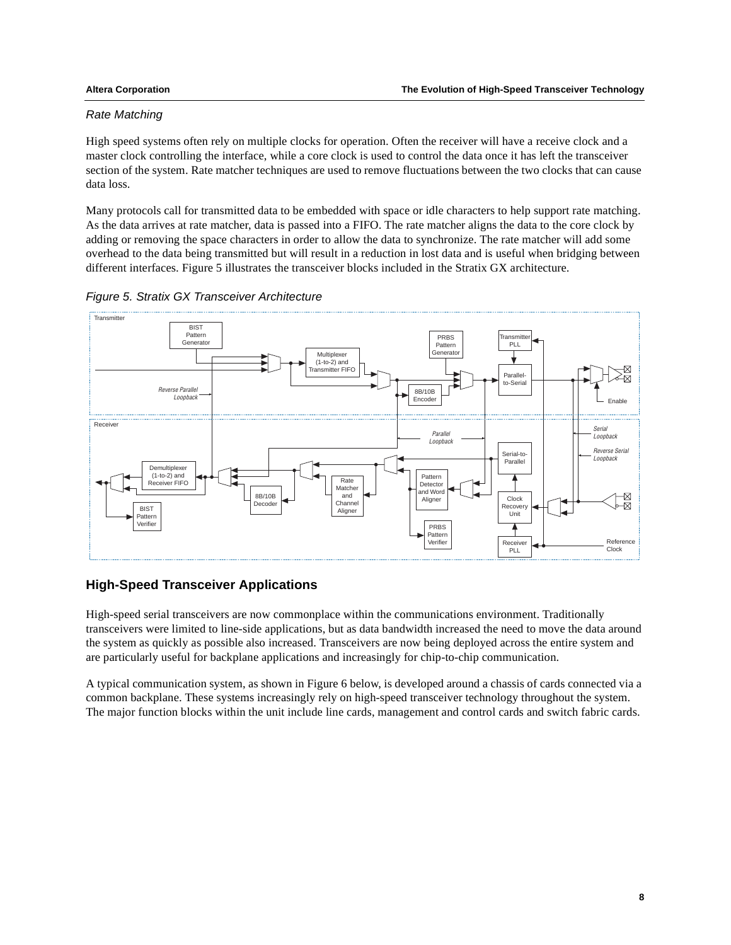### Rate Matching

High speed systems often rely on multiple clocks for operation. Often the receiver will have a receive clock and a master clock controlling the interface, while a core clock is used to control the data once it has left the transceiver section of the system. Rate matcher techniques are used to remove fluctuations between the two clocks that can cause data loss.

Many protocols call for transmitted data to be embedded with space or idle characters to help support rate matching. As the data arrives at rate matcher, data is passed into a FIFO. The rate matcher aligns the data to the core clock by adding or removing the space characters in order to allow the data to synchronize. The rate matcher will add some overhead to the data being transmitted but will result in a reduction in lost data and is useful when bridging between different interfaces. [Figure 5](#page-7-0) illustrates the transceiver blocks included in the Stratix GX architecture.



<span id="page-7-0"></span>

# **High-Speed Transceiver Applications**

High-speed serial transceivers are now commonplace within the communications environment. Traditionally transceivers were limited to line-side applications, but as data bandwidth increased the need to move the data around the system as quickly as possible also increased. Transceivers are now being deployed across the entire system and are particularly useful for backplane applications and increasingly for chip-to-chip communication.

A typical communication system, as shown in [Figure 6](#page-8-0) below, is developed around a chassis of cards connected via a common backplane. These systems increasingly rely on high-speed transceiver technology throughout the system. The major function blocks within the unit include line cards, management and control cards and switch fabric cards.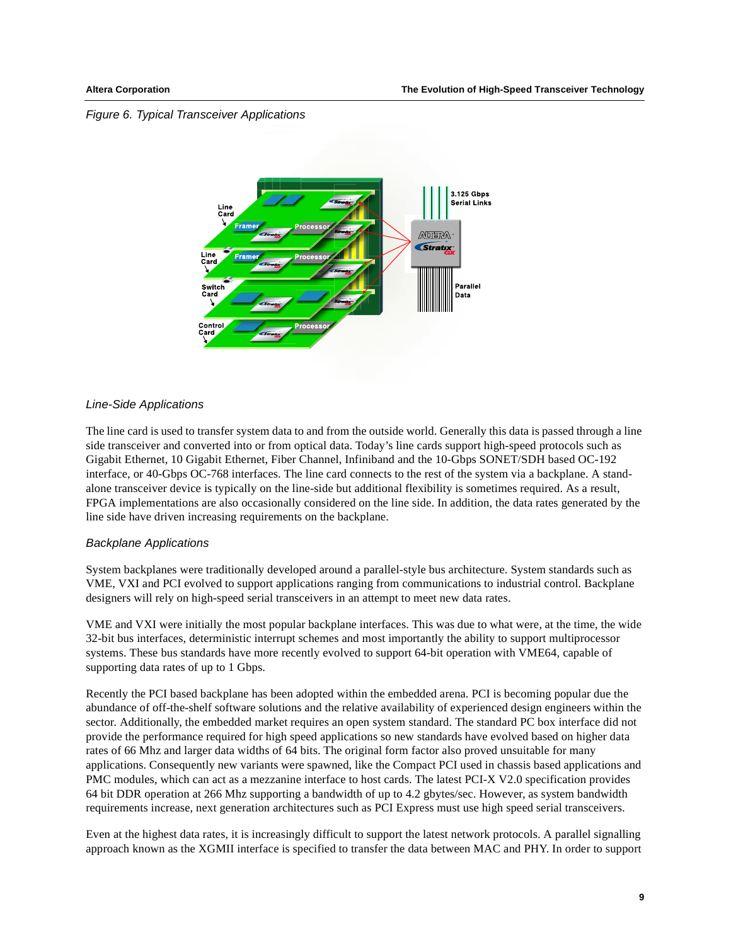#### <span id="page-8-0"></span>Figure 6. Typical Transceiver Applications



#### Line-Side Applications

The line card is used to transfer system data to and from the outside world. Generally this data is passed through a line side transceiver and converted into or from optical data. Today's line cards support high-speed protocols such as Gigabit Ethernet, 10 Gigabit Ethernet, Fiber Channel, Infiniband and the 10-Gbps SONET/SDH based OC-192 interface, or 40-Gbps OC-768 interfaces. The line card connects to the rest of the system via a backplane. A standalone transceiver device is typically on the line-side but additional flexibility is sometimes required. As a result, FPGA implementations are also occasionally considered on the line side. In addition, the data rates generated by the line side have driven increasing requirements on the backplane.

#### Backplane Applications

System backplanes were traditionally developed around a parallel-style bus architecture. System standards such as VME, VXI and PCI evolved to support applications ranging from communications to industrial control. Backplane designers will rely on high-speed serial transceivers in an attempt to meet new data rates.

VME and VXI were initially the most popular backplane interfaces. This was due to what were, at the time, the wide 32-bit bus interfaces, deterministic interrupt schemes and most importantly the ability to support multiprocessor systems. These bus standards have more recently evolved to support 64-bit operation with VME64, capable of supporting data rates of up to 1 Gbps.

Recently the PCI based backplane has been adopted within the embedded arena. PCI is becoming popular due the abundance of off-the-shelf software solutions and the relative availability of experienced design engineers within the sector. Additionally, the embedded market requires an open system standard. The standard PC box interface did not provide the performance required for high speed applications so new standards have evolved based on higher data rates of 66 Mhz and larger data widths of 64 bits. The original form factor also proved unsuitable for many applications. Consequently new variants were spawned, like the Compact PCI used in chassis based applications and PMC modules, which can act as a mezzanine interface to host cards. The latest PCI-X V2.0 specification provides 64 bit DDR operation at 266 Mhz supporting a bandwidth of up to 4.2 gbytes/sec. However, as system bandwidth requirements increase, next generation architectures such as PCI Express must use high speed serial transceivers.

Even at the highest data rates, it is increasingly difficult to support the latest network protocols. A parallel signalling approach known as the XGMII interface is specified to transfer the data between MAC and PHY. In order to support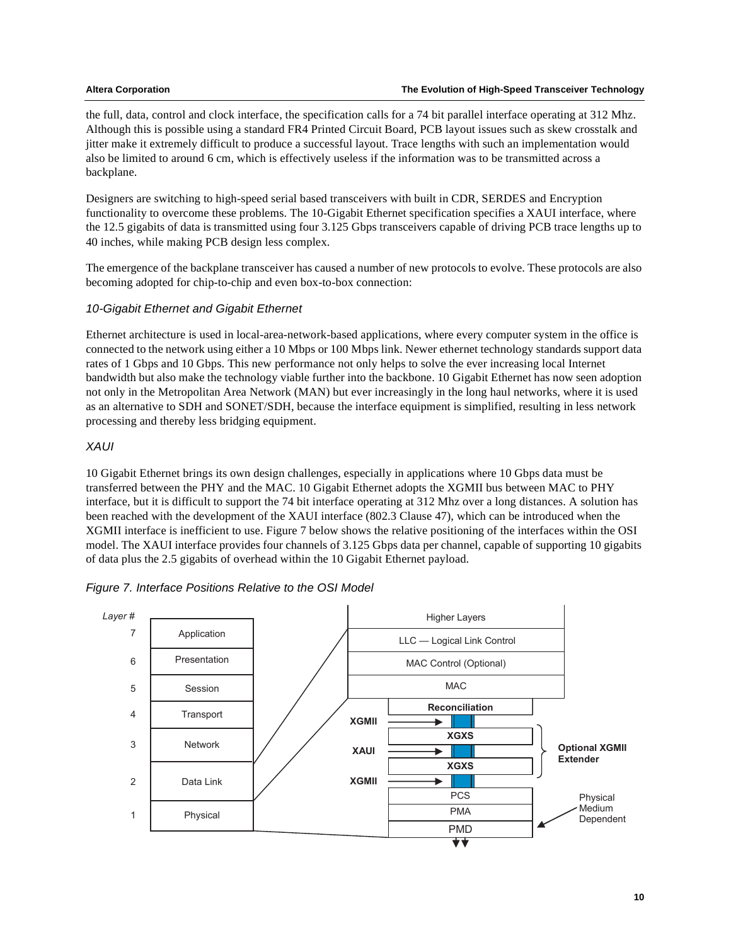the full, data, control and clock interface, the specification calls for a 74 bit parallel interface operating at 312 Mhz. Although this is possible using a standard FR4 Printed Circuit Board, PCB layout issues such as skew crosstalk and jitter make it extremely difficult to produce a successful layout. Trace lengths with such an implementation would also be limited to around 6 cm, which is effectively useless if the information was to be transmitted across a backplane.

Designers are switching to high-speed serial based transceivers with built in CDR, SERDES and Encryption functionality to overcome these problems. The 10-Gigabit Ethernet specification specifies a XAUI interface, where the 12.5 gigabits of data is transmitted using four 3.125 Gbps transceivers capable of driving PCB trace lengths up to 40 inches, while making PCB design less complex.

The emergence of the backplane transceiver has caused a number of new protocols to evolve. These protocols are also becoming adopted for chip-to-chip and even box-to-box connection:

# 10-Gigabit Ethernet and Gigabit Ethernet

Ethernet architecture is used in local-area-network-based applications, where every computer system in the office is connected to the network using either a 10 Mbps or 100 Mbps link. Newer ethernet technology standards support data rates of 1 Gbps and 10 Gbps. This new performance not only helps to solve the ever increasing local Internet bandwidth but also make the technology viable further into the backbone. 10 Gigabit Ethernet has now seen adoption not only in the Metropolitan Area Network (MAN) but ever increasingly in the long haul networks, where it is used as an alternative to SDH and SONET/SDH, because the interface equipment is simplified, resulting in less network processing and thereby less bridging equipment.

### XAUI

10 Gigabit Ethernet brings its own design challenges, especially in applications where 10 Gbps data must be transferred between the PHY and the MAC. 10 Gigabit Ethernet adopts the XGMII bus between MAC to PHY interface, but it is difficult to support the 74 bit interface operating at 312 Mhz over a long distances. A solution has been reached with the development of the XAUI interface (802.3 Clause 47), which can be introduced when the XGMII interface is inefficient to use. [Figure 7](#page-9-0) below shows the relative positioning of the interfaces within the OSI model. The XAUI interface provides four channels of 3.125 Gbps data per channel, capable of supporting 10 gigabits of data plus the 2.5 gigabits of overhead within the 10 Gigabit Ethernet payload.

<span id="page-9-0"></span>

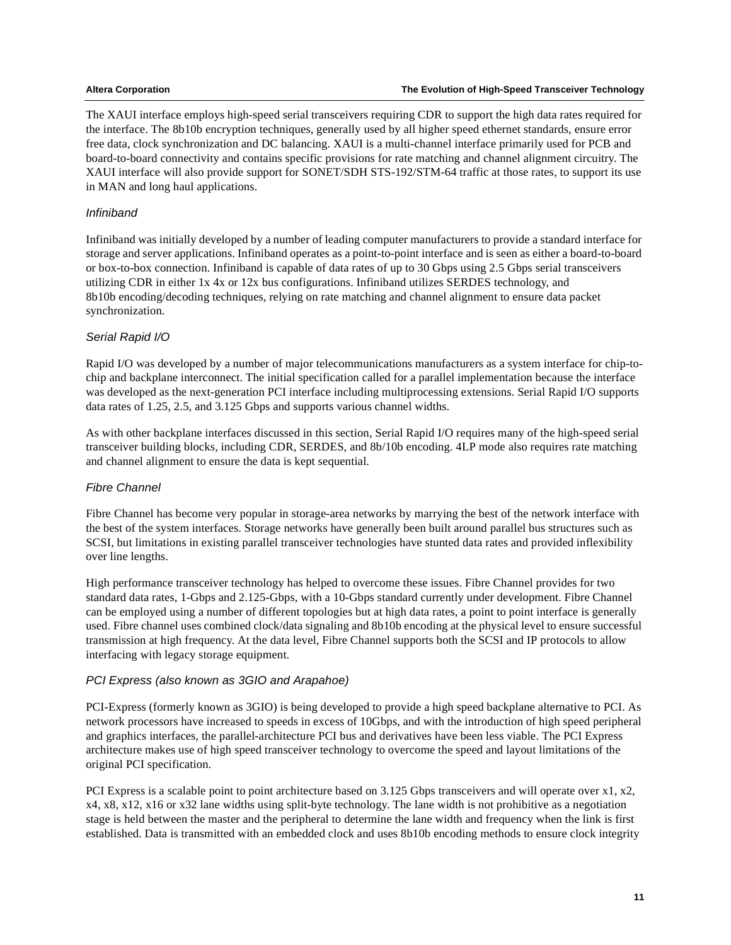The XAUI interface employs high-speed serial transceivers requiring CDR to support the high data rates required for the interface. The 8b10b encryption techniques, generally used by all higher speed ethernet standards, ensure error free data, clock synchronization and DC balancing. XAUI is a multi-channel interface primarily used for PCB and board-to-board connectivity and contains specific provisions for rate matching and channel alignment circuitry. The XAUI interface will also provide support for SONET/SDH STS-192/STM-64 traffic at those rates, to support its use in MAN and long haul applications.

## Infiniband

Infiniband was initially developed by a number of leading computer manufacturers to provide a standard interface for storage and server applications. Infiniband operates as a point-to-point interface and is seen as either a board-to-board or box-to-box connection. Infiniband is capable of data rates of up to 30 Gbps using 2.5 Gbps serial transceivers utilizing CDR in either 1x 4x or 12x bus configurations. Infiniband utilizes SERDES technology, and 8b10b encoding/decoding techniques, relying on rate matching and channel alignment to ensure data packet synchronization.

# Serial Rapid I/O

Rapid I/O was developed by a number of major telecommunications manufacturers as a system interface for chip-tochip and backplane interconnect. The initial specification called for a parallel implementation because the interface was developed as the next-generation PCI interface including multiprocessing extensions. Serial Rapid I/O supports data rates of 1.25, 2.5, and 3.125 Gbps and supports various channel widths.

As with other backplane interfaces discussed in this section, Serial Rapid I/O requires many of the high-speed serial transceiver building blocks, including CDR, SERDES, and 8b/10b encoding. 4LP mode also requires rate matching and channel alignment to ensure the data is kept sequential.

# Fibre Channel

Fibre Channel has become very popular in storage-area networks by marrying the best of the network interface with the best of the system interfaces. Storage networks have generally been built around parallel bus structures such as SCSI, but limitations in existing parallel transceiver technologies have stunted data rates and provided inflexibility over line lengths.

High performance transceiver technology has helped to overcome these issues. Fibre Channel provides for two standard data rates, 1-Gbps and 2.125-Gbps, with a 10-Gbps standard currently under development. Fibre Channel can be employed using a number of different topologies but at high data rates, a point to point interface is generally used. Fibre channel uses combined clock/data signaling and 8b10b encoding at the physical level to ensure successful transmission at high frequency. At the data level, Fibre Channel supports both the SCSI and IP protocols to allow interfacing with legacy storage equipment.

# PCI Express (also known as 3GIO and Arapahoe)

PCI-Express (formerly known as 3GIO) is being developed to provide a high speed backplane alternative to PCI. As network processors have increased to speeds in excess of 10Gbps, and with the introduction of high speed peripheral and graphics interfaces, the parallel-architecture PCI bus and derivatives have been less viable. The PCI Express architecture makes use of high speed transceiver technology to overcome the speed and layout limitations of the original PCI specification.

PCI Express is a scalable point to point architecture based on 3.125 Gbps transceivers and will operate over x1, x2, x4, x8, x12, x16 or x32 lane widths using split-byte technology. The lane width is not prohibitive as a negotiation stage is held between the master and the peripheral to determine the lane width and frequency when the link is first established. Data is transmitted with an embedded clock and uses 8b10b encoding methods to ensure clock integrity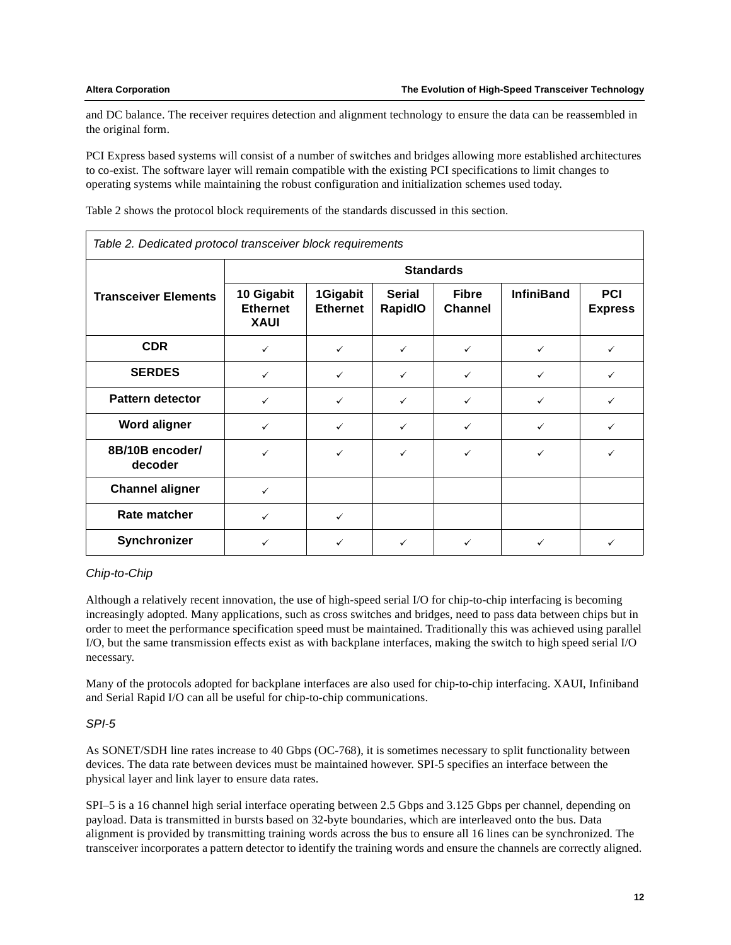and DC balance. The receiver requires detection and alignment technology to ensure the data can be reassembled in the original form.

PCI Express based systems will consist of a number of switches and bridges allowing more established architectures to co-exist. The software layer will remain compatible with the existing PCI specifications to limit changes to operating systems while maintaining the robust configuration and initialization schemes used today.

[Table 2](#page-11-0) shows the protocol block requirements of the standards discussed in this section.

| Table 2. Dedicated protocol transceiver block requirements |                                              |                             |                                 |                                |                   |                              |  |
|------------------------------------------------------------|----------------------------------------------|-----------------------------|---------------------------------|--------------------------------|-------------------|------------------------------|--|
|                                                            | <b>Standards</b>                             |                             |                                 |                                |                   |                              |  |
| <b>Transceiver Elements</b>                                | 10 Gigabit<br><b>Ethernet</b><br><b>XAUI</b> | 1Gigabit<br><b>Ethernet</b> | <b>Serial</b><br><b>RapidIO</b> | <b>Fibre</b><br><b>Channel</b> | <b>InfiniBand</b> | <b>PCI</b><br><b>Express</b> |  |
| <b>CDR</b>                                                 | $\checkmark$                                 | $\checkmark$                | $\checkmark$                    | $\checkmark$                   | $\checkmark$      | ✓                            |  |
| <b>SERDES</b>                                              | $\checkmark$                                 | $\checkmark$                | $\checkmark$                    | $\checkmark$                   | $\checkmark$      | $\checkmark$                 |  |
| <b>Pattern detector</b>                                    | $\checkmark$                                 | $\checkmark$                | $\checkmark$                    | $\checkmark$                   | ✓                 | $\checkmark$                 |  |
| <b>Word aligner</b>                                        | $\checkmark$                                 | $\checkmark$                | $\checkmark$                    | $\checkmark$                   | $\checkmark$      | ✓                            |  |
| 8B/10B encoder/<br>decoder                                 | $\checkmark$                                 | $\checkmark$                | $\checkmark$                    | $\checkmark$                   | $\checkmark$      | ✓                            |  |
| <b>Channel aligner</b>                                     | $\checkmark$                                 |                             |                                 |                                |                   |                              |  |
| Rate matcher                                               | $\checkmark$                                 | $\checkmark$                |                                 |                                |                   |                              |  |
| Synchronizer                                               | ✓                                            | $\checkmark$                | $\checkmark$                    | ✓                              |                   |                              |  |

<span id="page-11-0"></span>Table 2. Dedicated protocol transceiver block requirements

### Chip-to-Chip

Although a relatively recent innovation, the use of high-speed serial I/O for chip-to-chip interfacing is becoming increasingly adopted. Many applications, such as cross switches and bridges, need to pass data between chips but in order to meet the performance specification speed must be maintained. Traditionally this was achieved using parallel I/O, but the same transmission effects exist as with backplane interfaces, making the switch to high speed serial I/O necessary.

Many of the protocols adopted for backplane interfaces are also used for chip-to-chip interfacing. XAUI, Infiniband and Serial Rapid I/O can all be useful for chip-to-chip communications.

### SPI-5

As SONET/SDH line rates increase to 40 Gbps (OC-768), it is sometimes necessary to split functionality between devices. The data rate between devices must be maintained however. SPI-5 specifies an interface between the physical layer and link layer to ensure data rates.

SPI–5 is a 16 channel high serial interface operating between 2.5 Gbps and 3.125 Gbps per channel, depending on payload. Data is transmitted in bursts based on 32-byte boundaries, which are interleaved onto the bus. Data alignment is provided by transmitting training words across the bus to ensure all 16 lines can be synchronized. The transceiver incorporates a pattern detector to identify the training words and ensure the channels are correctly aligned.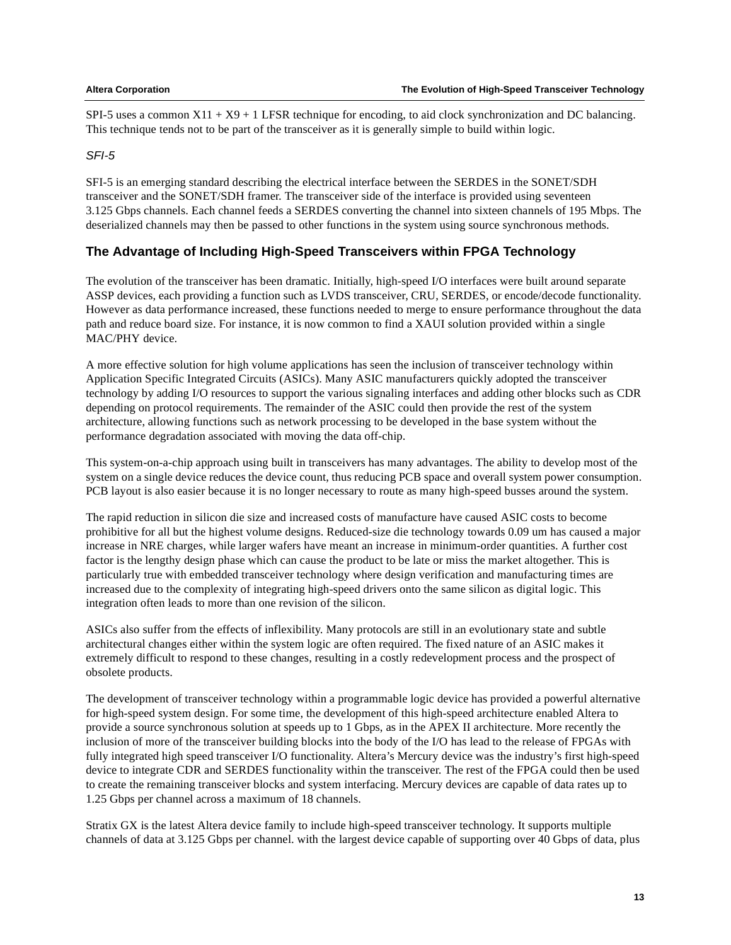SPI-5 uses a common  $X11 + X9 + 1$  LFSR technique for encoding, to aid clock synchronization and DC balancing. This technique tends not to be part of the transceiver as it is generally simple to build within logic.

### SFI-5

SFI-5 is an emerging standard describing the electrical interface between the SERDES in the SONET/SDH transceiver and the SONET/SDH framer. The transceiver side of the interface is provided using seventeen 3.125 Gbps channels. Each channel feeds a SERDES converting the channel into sixteen channels of 195 Mbps. The deserialized channels may then be passed to other functions in the system using source synchronous methods.

# **The Advantage of Including High-Speed Transceivers within FPGA Technology**

The evolution of the transceiver has been dramatic. Initially, high-speed I/O interfaces were built around separate ASSP devices, each providing a function such as LVDS transceiver, CRU, SERDES, or encode/decode functionality. However as data performance increased, these functions needed to merge to ensure performance throughout the data path and reduce board size. For instance, it is now common to find a XAUI solution provided within a single MAC/PHY device.

A more effective solution for high volume applications has seen the inclusion of transceiver technology within Application Specific Integrated Circuits (ASICs). Many ASIC manufacturers quickly adopted the transceiver technology by adding I/O resources to support the various signaling interfaces and adding other blocks such as CDR depending on protocol requirements. The remainder of the ASIC could then provide the rest of the system architecture, allowing functions such as network processing to be developed in the base system without the performance degradation associated with moving the data off-chip.

This system-on-a-chip approach using built in transceivers has many advantages. The ability to develop most of the system on a single device reduces the device count, thus reducing PCB space and overall system power consumption. PCB layout is also easier because it is no longer necessary to route as many high-speed busses around the system.

The rapid reduction in silicon die size and increased costs of manufacture have caused ASIC costs to become prohibitive for all but the highest volume designs. Reduced-size die technology towards 0.09 um has caused a major increase in NRE charges, while larger wafers have meant an increase in minimum-order quantities. A further cost factor is the lengthy design phase which can cause the product to be late or miss the market altogether. This is particularly true with embedded transceiver technology where design verification and manufacturing times are increased due to the complexity of integrating high-speed drivers onto the same silicon as digital logic. This integration often leads to more than one revision of the silicon.

ASICs also suffer from the effects of inflexibility. Many protocols are still in an evolutionary state and subtle architectural changes either within the system logic are often required. The fixed nature of an ASIC makes it extremely difficult to respond to these changes, resulting in a costly redevelopment process and the prospect of obsolete products.

The development of transceiver technology within a programmable logic device has provided a powerful alternative for high-speed system design. For some time, the development of this high-speed architecture enabled Altera to provide a source synchronous solution at speeds up to 1 Gbps, as in the APEX II architecture. More recently the inclusion of more of the transceiver building blocks into the body of the I/O has lead to the release of FPGAs with fully integrated high speed transceiver I/O functionality. Altera's Mercury device was the industry's first high-speed device to integrate CDR and SERDES functionality within the transceiver. The rest of the FPGA could then be used to create the remaining transceiver blocks and system interfacing. Mercury devices are capable of data rates up to 1.25 Gbps per channel across a maximum of 18 channels.

Stratix GX is the latest Altera device family to include high-speed transceiver technology. It supports multiple channels of data at 3.125 Gbps per channel. with the largest device capable of supporting over 40 Gbps of data, plus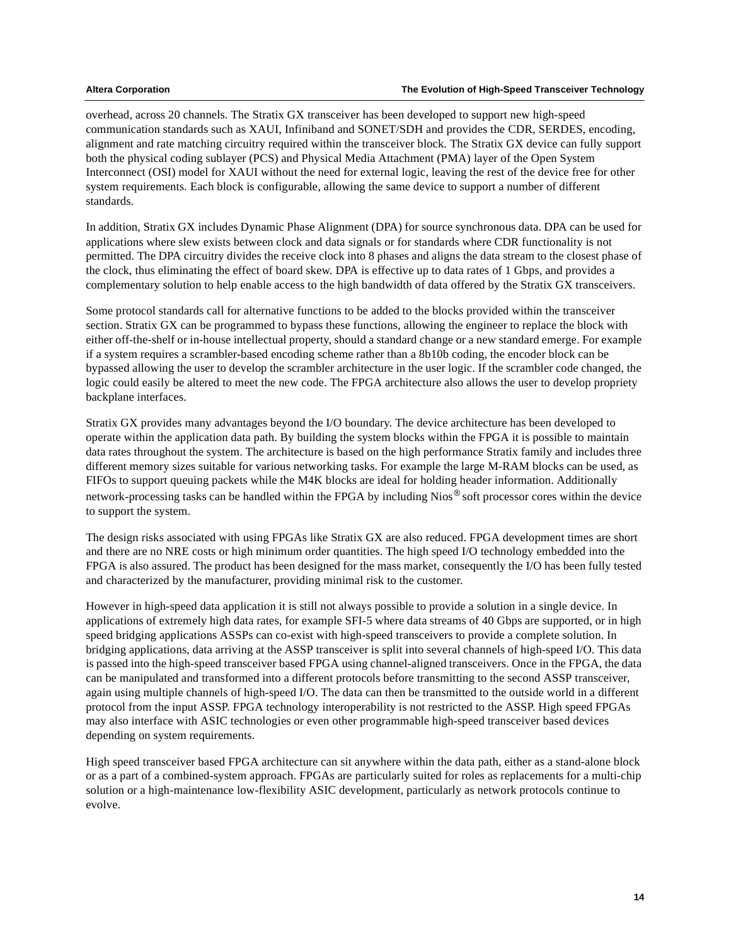overhead, across 20 channels. The Stratix GX transceiver has been developed to support new high-speed communication standards such as XAUI, Infiniband and SONET/SDH and provides the CDR, SERDES, encoding, alignment and rate matching circuitry required within the transceiver block. The Stratix GX device can fully support both the physical coding sublayer (PCS) and Physical Media Attachment (PMA) layer of the Open System Interconnect (OSI) model for XAUI without the need for external logic, leaving the rest of the device free for other system requirements. Each block is configurable, allowing the same device to support a number of different standards.

In addition, Stratix GX includes Dynamic Phase Alignment (DPA) for source synchronous data. DPA can be used for applications where slew exists between clock and data signals or for standards where CDR functionality is not permitted. The DPA circuitry divides the receive clock into 8 phases and aligns the data stream to the closest phase of the clock, thus eliminating the effect of board skew. DPA is effective up to data rates of 1 Gbps, and provides a complementary solution to help enable access to the high bandwidth of data offered by the Stratix GX transceivers.

Some protocol standards call for alternative functions to be added to the blocks provided within the transceiver section. Stratix GX can be programmed to bypass these functions, allowing the engineer to replace the block with either off-the-shelf or in-house intellectual property, should a standard change or a new standard emerge. For example if a system requires a scrambler-based encoding scheme rather than a 8b10b coding, the encoder block can be bypassed allowing the user to develop the scrambler architecture in the user logic. If the scrambler code changed, the logic could easily be altered to meet the new code. The FPGA architecture also allows the user to develop propriety backplane interfaces.

Stratix GX provides many advantages beyond the I/O boundary. The device architecture has been developed to operate within the application data path. By building the system blocks within the FPGA it is possible to maintain data rates throughout the system. The architecture is based on the high performance Stratix family and includes three different memory sizes suitable for various networking tasks. For example the large M-RAM blocks can be used, as FIFOs to support queuing packets while the M4K blocks are ideal for holding header information. Additionally network-processing tasks can be handled within the FPGA by including Nios® soft processor cores within the device to support the system.

The design risks associated with using FPGAs like Stratix GX are also reduced. FPGA development times are short and there are no NRE costs or high minimum order quantities. The high speed I/O technology embedded into the FPGA is also assured. The product has been designed for the mass market, consequently the I/O has been fully tested and characterized by the manufacturer, providing minimal risk to the customer.

However in high-speed data application it is still not always possible to provide a solution in a single device. In applications of extremely high data rates, for example SFI-5 where data streams of 40 Gbps are supported, or in high speed bridging applications ASSPs can co-exist with high-speed transceivers to provide a complete solution. In bridging applications, data arriving at the ASSP transceiver is split into several channels of high-speed I/O. This data is passed into the high-speed transceiver based FPGA using channel-aligned transceivers. Once in the FPGA, the data can be manipulated and transformed into a different protocols before transmitting to the second ASSP transceiver, again using multiple channels of high-speed I/O. The data can then be transmitted to the outside world in a different protocol from the input ASSP. FPGA technology interoperability is not restricted to the ASSP. High speed FPGAs may also interface with ASIC technologies or even other programmable high-speed transceiver based devices depending on system requirements.

High speed transceiver based FPGA architecture can sit anywhere within the data path, either as a stand-alone block or as a part of a combined-system approach. FPGAs are particularly suited for roles as replacements for a multi-chip solution or a high-maintenance low-flexibility ASIC development, particularly as network protocols continue to evolve.